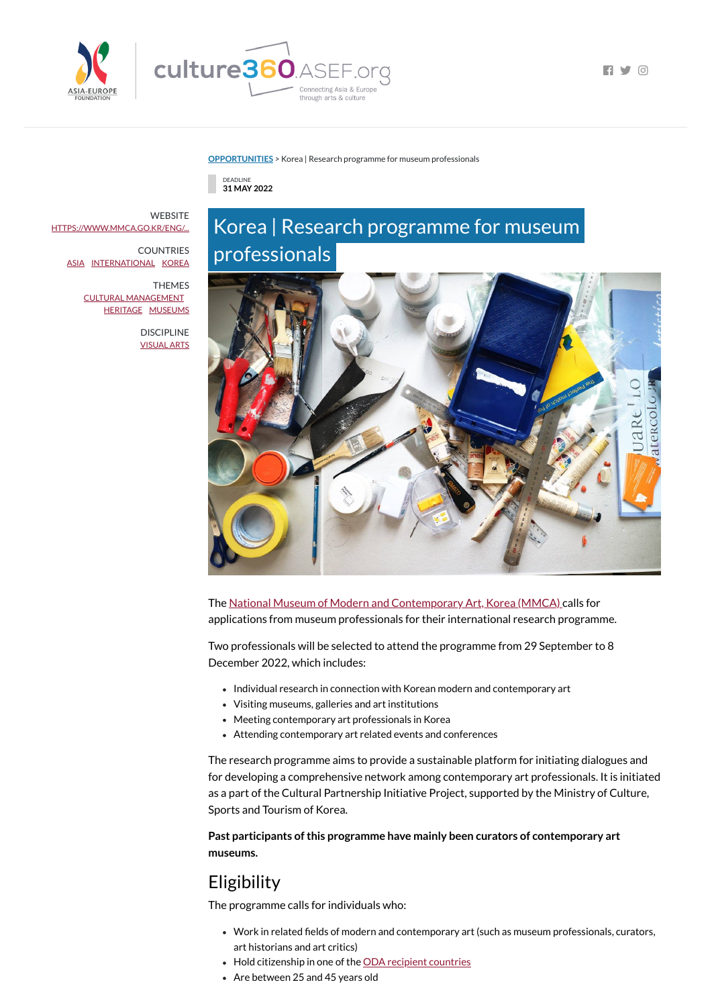



**FI Y 0** 

#### **[OPPORTUNITIES](https://culture360.asef.org/opportunities/)** > Korea | Research programme for museum professionals

DEADLINE **31 MAY 2022**

# Korea | Research programme for museum professionals



The National Museum of Modern and [Contemporary](https://culture360.asef.org/resources/national-museum-modern-and-contemporary-art-mmca-korea/) Art, Korea (MMCA) calls for applications from museum professionals for their international research programme.

- Individual research in connection with Korean modern and contemporary art
- Visiting museums, galleries and art institutions
- Meeting contemporary art professionals in Korea
- Attending contemporary art related events and conferences

Two professionals will be selected to attend the programme from 29 September to 8 December 2022, which includes:

- Work in related fields of modern and contemporary art (such as museum professionals, curators, art historians and art critics)
- Hold citizenship in one of the ODA recipient [countries](https://www.oecd.org/dac/financing-sustainable-development/development-finance-standards/DAC-List-of-ODA-Recipients-for-reporting-2022-23-flows.pdf)
- Are between 25 and 45 years old

**WEBSITE** [HTTPS://WWW.MMCA.GO.KR/ENG/...](https://www.mmca.go.kr/eng/artResearch/fellowship.do)

> The research programme aims to provide a sustainable platform for initiating dialogues and for developing a comprehensive network among contemporary art professionals. It is initiated as a part of the Cultural Partnership Initiative Project, supported by the Ministry of Culture, Sports and Tourism of Korea.

**Past participants ofthis programme have mainly been curators of contemporary art museums.**

# Eligibility

The programme calls for individuals who:

COUNTRIES [ASIA](https://culture360.asef.org/countries/asia/) [INTERNATIONAL](https://culture360.asef.org/countries/international/) [KOREA](https://culture360.asef.org/countries/korea/)

> THEMES CULTURAL [MANAGEMENT](https://culture360.asef.org/themes/cultural-management/) [HERITAGE](https://culture360.asef.org/themes/heritage/) [MUSEUMS](https://culture360.asef.org/themes/museums/)

> > DISCIPLINE [VISUAL](https://culture360.asef.org/disciplines/visual-arts/) ARTS